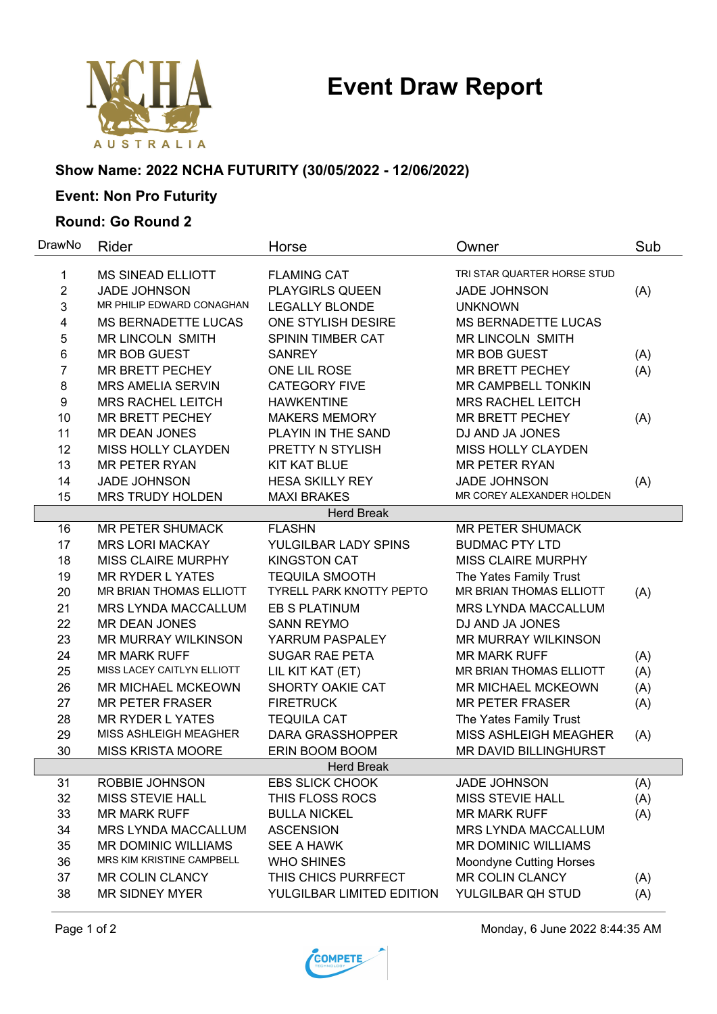# **Event Draw Report**



## **Show Name: 2022 NCHA FUTURITY (30/05/2022 - 12/06/2022)**

# **Event: Non Pro Futurity**

#### **Round: Go Round 2**

| DrawNo            | Rider                        | Horse                           | Owner                          | Sub |  |  |  |
|-------------------|------------------------------|---------------------------------|--------------------------------|-----|--|--|--|
| 1                 | <b>MS SINEAD ELLIOTT</b>     | <b>FLAMING CAT</b>              | TRI STAR QUARTER HORSE STUD    |     |  |  |  |
| $\overline{2}$    | <b>JADE JOHNSON</b>          | <b>PLAYGIRLS QUEEN</b>          | <b>JADE JOHNSON</b>            | (A) |  |  |  |
| 3                 | MR PHILIP EDWARD CONAGHAN    | <b>LEGALLY BLONDE</b>           | <b>UNKNOWN</b>                 |     |  |  |  |
| 4                 | <b>MS BERNADETTE LUCAS</b>   | ONE STYLISH DESIRE              | <b>MS BERNADETTE LUCAS</b>     |     |  |  |  |
| 5                 | <b>MR LINCOLN SMITH</b>      | SPININ TIMBER CAT               | <b>MR LINCOLN SMITH</b>        |     |  |  |  |
| 6                 | <b>MR BOB GUEST</b>          | <b>SANREY</b>                   | <b>MR BOB GUEST</b>            | (A) |  |  |  |
| $\overline{7}$    | <b>MR BRETT PECHEY</b>       | ONE LIL ROSE                    | <b>MR BRETT PECHEY</b>         | (A) |  |  |  |
| 8                 | <b>MRS AMELIA SERVIN</b>     | <b>CATEGORY FIVE</b>            | MR CAMPBELL TONKIN             |     |  |  |  |
| 9                 | <b>MRS RACHEL LEITCH</b>     | <b>HAWKENTINE</b>               | <b>MRS RACHEL LEITCH</b>       |     |  |  |  |
| 10                | <b>MR BRETT PECHEY</b>       | <b>MAKERS MEMORY</b>            | <b>MR BRETT PECHEY</b>         | (A) |  |  |  |
| 11                | <b>MR DEAN JONES</b>         | PLAYIN IN THE SAND              | DJ AND JA JONES                |     |  |  |  |
| 12                | MISS HOLLY CLAYDEN           | PRETTY N STYLISH                | MISS HOLLY CLAYDEN             |     |  |  |  |
| 13                | <b>MR PETER RYAN</b>         | <b>KIT KAT BLUE</b>             | <b>MR PETER RYAN</b>           |     |  |  |  |
| 14                | <b>JADE JOHNSON</b>          | <b>HESA SKILLY REY</b>          | <b>JADE JOHNSON</b>            | (A) |  |  |  |
| 15                | <b>MRS TRUDY HOLDEN</b>      | <b>MAXI BRAKES</b>              | MR COREY ALEXANDER HOLDEN      |     |  |  |  |
|                   | <b>Herd Break</b>            |                                 |                                |     |  |  |  |
| 16                | <b>MR PETER SHUMACK</b>      | <b>FLASHN</b>                   | <b>MR PETER SHUMACK</b>        |     |  |  |  |
| 17                | <b>MRS LORI MACKAY</b>       | YULGILBAR LADY SPINS            | <b>BUDMAC PTY LTD</b>          |     |  |  |  |
| 18                | <b>MISS CLAIRE MURPHY</b>    | <b>KINGSTON CAT</b>             | <b>MISS CLAIRE MURPHY</b>      |     |  |  |  |
| 19                | <b>MR RYDER L YATES</b>      | <b>TEQUILA SMOOTH</b>           | The Yates Family Trust         |     |  |  |  |
| 20                | MR BRIAN THOMAS ELLIOTT      | <b>TYRELL PARK KNOTTY PEPTO</b> | MR BRIAN THOMAS ELLIOTT        | (A) |  |  |  |
| 21                | <b>MRS LYNDA MACCALLUM</b>   | <b>EB S PLATINUM</b>            | <b>MRS LYNDA MACCALLUM</b>     |     |  |  |  |
| 22                | <b>MR DEAN JONES</b>         | <b>SANN REYMO</b>               | DJ AND JA JONES                |     |  |  |  |
| 23                | MR MURRAY WILKINSON          | YARRUM PASPALEY                 | MR MURRAY WILKINSON            |     |  |  |  |
| 24                | <b>MR MARK RUFF</b>          | <b>SUGAR RAE PETA</b>           | <b>MR MARK RUFF</b>            | (A) |  |  |  |
| 25                | MISS LACEY CAITLYN ELLIOTT   | LIL KIT KAT (ET)                | MR BRIAN THOMAS ELLIOTT        | (A) |  |  |  |
| 26                | <b>MR MICHAEL MCKEOWN</b>    | SHORTY OAKIE CAT                | <b>MR MICHAEL MCKEOWN</b>      | (A) |  |  |  |
| 27                | <b>MR PETER FRASER</b>       | <b>FIRETRUCK</b>                | <b>MR PETER FRASER</b>         | (A) |  |  |  |
| 28                | <b>MR RYDER L YATES</b>      | <b>TEQUILA CAT</b>              | The Yates Family Trust         |     |  |  |  |
| 29                | <b>MISS ASHLEIGH MEAGHER</b> | <b>DARA GRASSHOPPER</b>         | <b>MISS ASHLEIGH MEAGHER</b>   | (A) |  |  |  |
| 30                | <b>MISS KRISTA MOORE</b>     | ERIN BOOM BOOM                  | MR DAVID BILLINGHURST          |     |  |  |  |
| <b>Herd Break</b> |                              |                                 |                                |     |  |  |  |
| 31                | ROBBIE JOHNSON               | <b>EBS SLICK CHOOK</b>          | <b>JADE JOHNSON</b>            | (A) |  |  |  |
| 32                | <b>MISS STEVIE HALL</b>      | THIS FLOSS ROCS                 | <b>MISS STEVIE HALL</b>        | (A) |  |  |  |
| 33                | <b>MR MARK RUFF</b>          | <b>BULLA NICKEL</b>             | <b>MR MARK RUFF</b>            | (A) |  |  |  |
| 34                | MRS LYNDA MACCALLUM          | <b>ASCENSION</b>                | <b>MRS LYNDA MACCALLUM</b>     |     |  |  |  |
| 35                | <b>MR DOMINIC WILLIAMS</b>   | <b>SEE A HAWK</b>               | <b>MR DOMINIC WILLIAMS</b>     |     |  |  |  |
| 36                | MRS KIM KRISTINE CAMPBELL    | <b>WHO SHINES</b>               | <b>Moondyne Cutting Horses</b> |     |  |  |  |
| 37                | <b>MR COLIN CLANCY</b>       | THIS CHICS PURRFECT             | <b>MR COLIN CLANCY</b>         | (A) |  |  |  |
| 38                | <b>MR SIDNEY MYER</b>        | YULGILBAR LIMITED EDITION       | YULGILBAR QH STUD              | (A) |  |  |  |



Page 1 of 2 **Monday, 6 June 2022 8:44:35 AM**